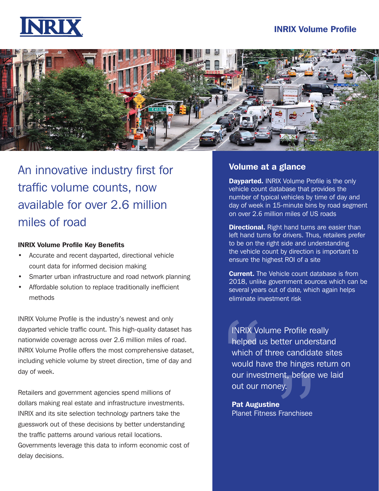#### INRIX Volume Profile





An innovative industry first for traffic volume counts, now available for over 2.6 million miles of road

#### INRIX Volume Profile Key Benefits

- Accurate and recent dayparted, directional vehicle count data for informed decision making
- Smarter urban infrastructure and road network planning
- Affordable solution to replace traditionally inefficient methods

INRIX Volume Profile is the industry's newest and only dayparted vehicle traffic count. This high-quality dataset has nationwide coverage across over 2.6 million miles of road. INRIX Volume Profile offers the most comprehensive dataset, including vehicle volume by street direction, time of day and day of week.

Retailers and government agencies spend millions of dollars making real estate and infrastructure investments. INRIX and its site selection technology partners take the guesswork out of these decisions by better understanding the traffic patterns around various retail locations. Governments leverage this data to inform economic cost of delay decisions.

#### Volume at a glance

**Dayparted.** INRIX Volume Profile is the only vehicle count database that provides the number of typical vehicles by time of day and day of week in 15-minute bins by road segment on over 2.6 million miles of US roads

**Directional.** Right hand turns are easier than left hand turns for drivers. Thus, retailers prefer to be on the right side and understanding the vehicle count by direction is important to ensure the highest ROI of a site

**Current.** The Vehicle count database is from 2018, unlike government sources which can be several years out of date, which again helps eliminate investment risk

INRIX Vo<br>helped u<br>which of<br>would ha<br>out our l<br>**Pat Augu** helped us better understand<br>which of three candidate site<br>would have the hinges return<br>our investment, before we lai<br>out our money. INRIX Volume Profile really which of three candidate sites would have the hinges return on our investment, before we laid out our money.

Pat Augustine Planet Fitness Franchisee